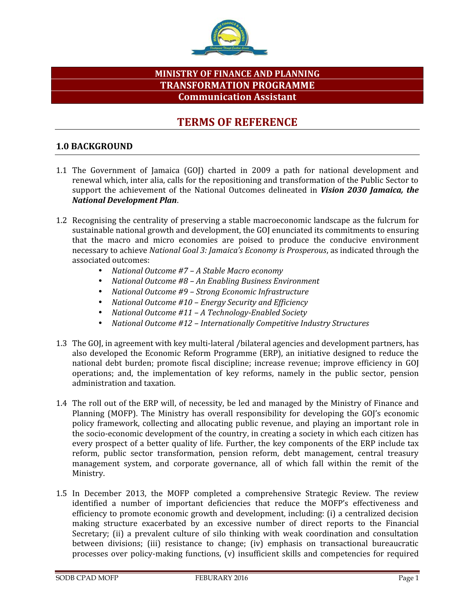

# **MINISTRY OF FINANCE AND PLANNING TRANSFORMATION PROGRAMME Communication Assistant**

# **TERMS OF REFERENCE**

## **1.0 BACKGROUND**

- 1.1 The Government of Jamaica (GOJ) charted in 2009 a path for national development and renewal which, inter alia, calls for the repositioning and transformation of the Public Sector to support the achievement of the National Outcomes delineated in *Vision 2030 Jamaica, the National Development Plan*.
- 1.2 Recognising the centrality of preserving a stable macroeconomic landscape as the fulcrum for sustainable national growth and development, the GOJ enunciated its commitments to ensuring that the macro and micro economies are poised to produce the conducive environment necessary to achieve *National Goal 3: Jamaica's Economy is Prosperous*, as indicated through the
	- associated outcomes: *National Outcome #7 – A Stable Macro economy*
	- *National Outcome #8 – An Enabling Business Environment*
	- *National Outcome #9 – Strong Economic Infrastructure*
	- *National Outcome #10 – Energy Security and Efficiency*
	- *National Outcome #11 – A Technology-Enabled Society*
	- *National Outcome #12 – Internationally Competitive Industry Structures*
- 1.3 The GOJ, in agreement with key multi-lateral /bilateral agencies and development partners, has also developed the Economic Reform Programme (ERP), an initiative designed to reduce the national debt burden; promote fiscal discipline; increase revenue; improve efficiency in GOJ operations; and, the implementation of key reforms, namely in the public sector, pension administration and taxation.
- 1.4 The roll out of the ERP will, of necessity, be led and managed by the Ministry of Finance and Planning (MOFP). The Ministry has overall responsibility for developing the GOJ's economic policy framework, collecting and allocating public revenue, and playing an important role in the socio-economic development of the country, in creating a society in which each citizen has every prospect of a better quality of life. Further, the key components of the ERP include tax reform, public sector transformation, pension reform, debt management, central treasury management system, and corporate governance, all of which fall within the remit of the Ministry.
- 1.5 In December 2013, the MOFP completed a comprehensive Strategic Review. The review identified a number of important deficiencies that reduce the MOFP's effectiveness and efficiency to promote economic growth and development, including: (i) a centralized decision making structure exacerbated by an excessive number of direct reports to the Financial Secretary; (ii) a prevalent culture of silo thinking with weak coordination and consultation between divisions; (iii) resistance to change; (iv) emphasis on transactional bureaucratic processes over policy-making functions, (v) insufficient skills and competencies for required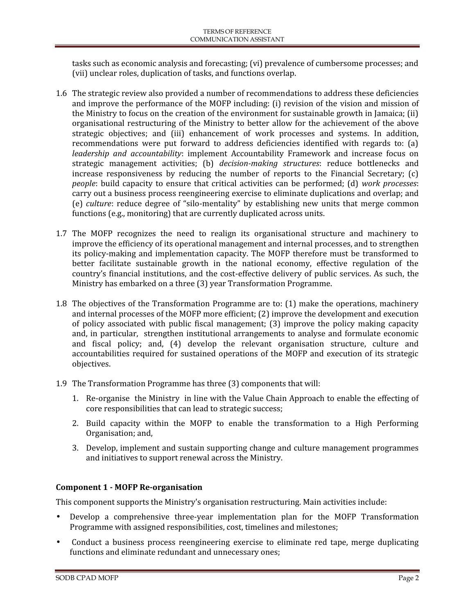tasks such as economic analysis and forecasting; (vi) prevalence of cumbersome processes; and (vii) unclear roles, duplication of tasks, and functions overlap.

- 1.6 The strategic review also provided a number of recommendations to address these deficiencies and improve the performance of the MOFP including: (i) revision of the vision and mission of the Ministry to focus on the creation of the environment for sustainable growth in Jamaica; (ii) organisational restructuring of the Ministry to better allow for the achievement of the above strategic objectives; and (iii) enhancement of work processes and systems. In addition, recommendations were put forward to address deficiencies identified with regards to: (a) *leadership and accountability*: implement Accountability Framework and increase focus on strategic management activities; (b) *decision-making structures*: reduce bottlenecks and increase responsiveness by reducing the number of reports to the Financial Secretary; (c) *people*: build capacity to ensure that critical activities can be performed; (d) *work processes*: carry out a business process reengineering exercise to eliminate duplications and overlap; and (e) *culture*: reduce degree of "silo-mentality" by establishing new units that merge common functions (e.g., monitoring) that are currently duplicated across units.
- 1.7 The MOFP recognizes the need to realign its organisational structure and machinery to improve the efficiency of its operational management and internal processes, and to strengthen its policy-making and implementation capacity. The MOFP therefore must be transformed to better facilitate sustainable growth in the national economy, effective regulation of the country's financial institutions, and the cost-effective delivery of public services. As such, the Ministry has embarked on a three (3) year Transformation Programme.
- 1.8 The objectives of the Transformation Programme are to: (1) make the operations, machinery and internal processes of the MOFP more efficient; (2) improve the development and execution of policy associated with public fiscal management; (3) improve the policy making capacity and, in particular, strengthen institutional arrangements to analyse and formulate economic and fiscal policy; and, (4) develop the relevant organisation structure, culture and accountabilities required for sustained operations of the MOFP and execution of its strategic objectives.
- 1.9 The Transformation Programme has three (3) components that will:
	- 1. Re-organise the Ministry in line with the Value Chain Approach to enable the effecting of core responsibilities that can lead to strategic success;
	- 2. Build capacity within the MOFP to enable the transformation to a High Performing Organisation; and,
	- 3. Develop, implement and sustain supporting change and culture management programmes and initiatives to support renewal across the Ministry.

# **Component 1 - MOFP Re-organisation**

This component supports the Ministry's organisation restructuring. Main activities include:

- Develop a comprehensive three-year implementation plan for the MOFP Transformation Programme with assigned responsibilities, cost, timelines and milestones;
- Conduct a business process reengineering exercise to eliminate red tape, merge duplicating functions and eliminate redundant and unnecessary ones;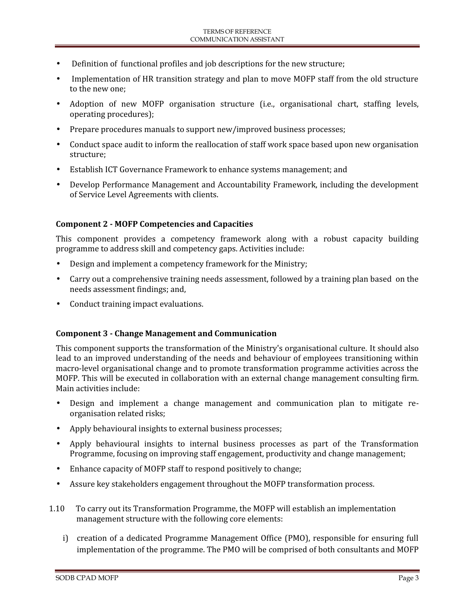- Definition of functional profiles and job descriptions for the new structure;
- Implementation of HR transition strategy and plan to move MOFP staff from the old structure to the new one;
- Adoption of new MOFP organisation structure (i.e., organisational chart, staffing levels, operating procedures);
- Prepare procedures manuals to support new/improved business processes;
- Conduct space audit to inform the reallocation of staff work space based upon new organisation structure;
- Establish ICT Governance Framework to enhance systems management; and
- Develop Performance Management and Accountability Framework, including the development of Service Level Agreements with clients.

#### **Component 2 - MOFP Competencies and Capacities**

This component provides a competency framework along with a robust capacity building programme to address skill and competency gaps. Activities include:

- Design and implement a competency framework for the Ministry;
- Carry out a comprehensive training needs assessment, followed by a training plan based on the needs assessment findings; and,
- Conduct training impact evaluations.

#### **Component 3 - Change Management and Communication**

This component supports the transformation of the Ministry's organisational culture. It should also lead to an improved understanding of the needs and behaviour of employees transitioning within macro-level organisational change and to promote transformation programme activities across the MOFP. This will be executed in collaboration with an external change management consulting firm. Main activities include:

- Design and implement a change management and communication plan to mitigate re organisation related risks;
- Apply behavioural insights to external business processes;
- Apply behavioural insights to internal business processes as part of the Transformation Programme, focusing on improving staff engagement, productivity and change management;
- Enhance capacity of MOFP staff to respond positively to change;
- Assure key stakeholders engagement throughout the MOFP transformation process.
- 1.10 To carry out its Transformation Programme, the MOFP will establish an implementation management structure with the following core elements:
	- i) creation of a dedicated Programme Management Office (PMO), responsible for ensuring full implementation of the programme. The PMO will be comprised of both consultants and MOFP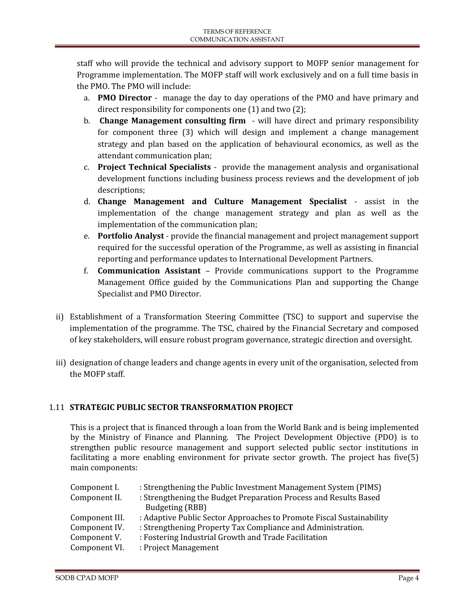staff who will provide the technical and advisory support to MOFP senior management for Programme implementation. The MOFP staff will work exclusively and on a full time basis in the PMO. The PMO will include:

- a. **PMO Director** manage the day to day operations of the PMO and have primary and direct responsibility for components one (1) and two (2);
- b. **Change Management consulting firm** will have direct and primary responsibility for component three (3) which will design and implement a change management strategy and plan based on the application of behavioural economics, as well as the attendant communication plan;
- c. **Project Technical Specialists** provide the management analysis and organisational development functions including business process reviews and the development of job descriptions;
- d. **Change Management and Culture Management Specialist** assist in the implementation of the change management strategy and plan as well as the implementation of the communication plan;
- e. **Portfolio Analyst** provide the financial management and project management support required for the successful operation of the Programme, as well as assisting in financial reporting and performance updates to International Development Partners.
- f. **Communication Assistant** Provide communications support to the Programme Management Office guided by the Communications Plan and supporting the Change Specialist and PMO Director.
- ii) Establishment of a Transformation Steering Committee (TSC) to support and supervise the implementation of the programme. The TSC, chaired by the Financial Secretary and composed of key stakeholders, will ensure robust program governance, strategic direction and oversight.
- iii) designation of change leaders and change agents in every unit of the organisation, selected from the MOFP staff.

# 1.11 **STRATEGIC PUBLIC SECTOR TRANSFORMATION PROJECT**

This is a project that is financed through a loan from the World Bank and is being implemented by the Ministry of Finance and Planning. The Project Development Objective (PDO) is to strengthen public resource management and support selected public sector institutions in facilitating a more enabling environment for private sector growth. The project has five(5) main components:

| Component I.   | : Strengthening the Public Investment Management System (PIMS)       |
|----------------|----------------------------------------------------------------------|
| Component II.  | : Strengthening the Budget Preparation Process and Results Based     |
|                | <b>Budgeting (RBB)</b>                                               |
| Component III. | : Adaptive Public Sector Approaches to Promote Fiscal Sustainability |
| Component IV.  | : Strengthening Property Tax Compliance and Administration.          |
| Component V.   | : Fostering Industrial Growth and Trade Facilitation                 |
| Component VI.  | : Project Management                                                 |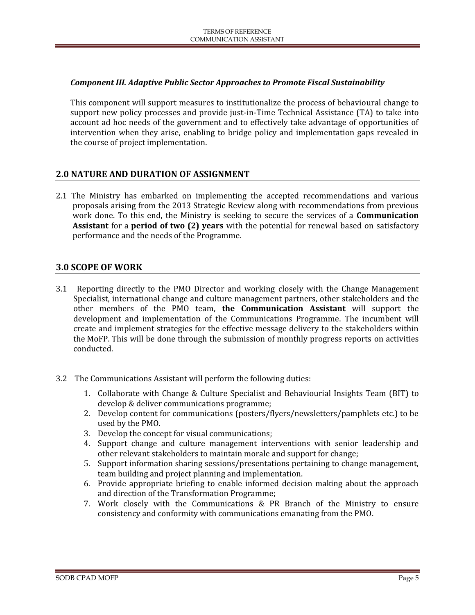### *Component III. Adaptive Public Sector Approaches to Promote Fiscal Sustainability*

This component will support measures to institutionalize the process of behavioural change to support new policy processes and provide just-in-Time Technical Assistance (TA) to take into account ad hoc needs of the government and to effectively take advantage of opportunities of intervention when they arise, enabling to bridge policy and implementation gaps revealed in the course of project implementation.

## **2.0 NATURE AND DURATION OF ASSIGNMENT**

2.1 The Ministry has embarked on implementing the accepted recommendations and various proposals arising from the 2013 Strategic Review along with recommendations from previous work done. To this end, the Ministry is seeking to secure the services of a **Communication Assistant** for a **period of two (2) years** with the potential for renewal based on satisfactory performance and the needs of the Programme.

#### **3.0 SCOPE OF WORK**

- 3.1 Reporting directly to the PMO Director and working closely with the Change Management Specialist, international change and culture management partners, other stakeholders and the other members of the PMO team, **the Communication Assistant** will support the development and implementation of the Communications Programme. The incumbent will create and implement strategies for the effective message delivery to the stakeholders within the MoFP. This will be done through the submission of monthly progress reports on activities conducted.
- 3.2 The Communications Assistant will perform the following duties:
	- 1. Collaborate with Change & Culture Specialist and Behaviourial Insights Team (BIT) to develop & deliver communications programme;
	- 2. Develop content for communications (posters/flyers/newsletters/pamphlets etc.) to be used by the PMO.
	- 3. Develop the concept for visual communications;
	- 4. Support change and culture management interventions with senior leadership and other relevant stakeholders to maintain morale and support for change;
	- 5. Support information sharing sessions/presentations pertaining to change management, team building and project planning and implementation.
	- 6. Provide appropriate briefing to enable informed decision making about the approach and direction of the Transformation Programme;
	- 7. Work closely with the Communications & PR Branch of the Ministry to ensure consistency and conformity with communications emanating from the PMO.